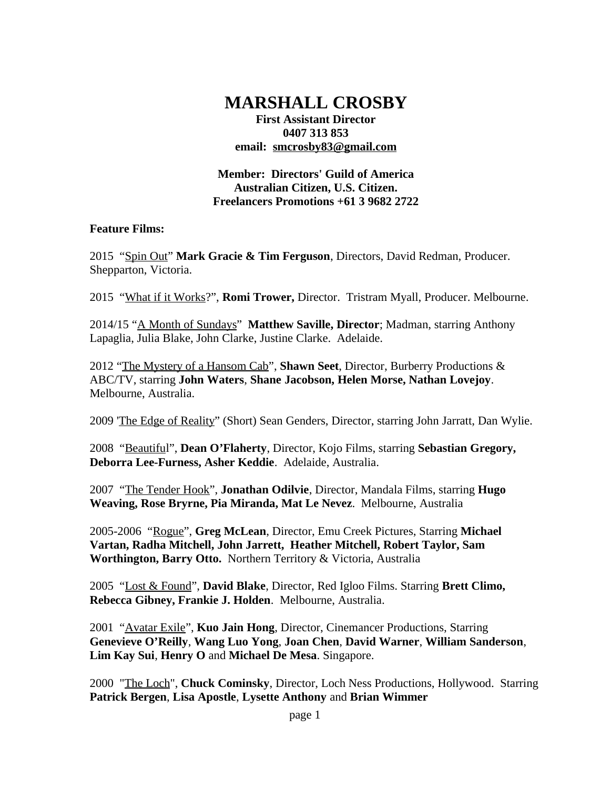# **MARSHALL CROSBY**

**First Assistant Director 0407 313 853 email: smcrosby83@gmail.com**

**Member: Directors' Guild of America Australian Citizen, U.S. Citizen. Freelancers Promotions +61 3 9682 2722**

#### **Feature Films:**

2015 "Spin Out" **Mark Gracie & Tim Ferguson**, Directors, David Redman, Producer. Shepparton, Victoria.

2015 "What if it Works?", **Romi Trower,** Director. Tristram Myall, Producer. Melbourne.

2014/15 "A Month of Sundays" **Matthew Saville, Director**; Madman, starring Anthony Lapaglia, Julia Blake, John Clarke, Justine Clarke. Adelaide.

2012 "The Mystery of a Hansom Cab", **Shawn Seet**, Director, Burberry Productions & ABC/TV, starring **John Waters**, **Shane Jacobson, Helen Morse, Nathan Lovejoy**. Melbourne, Australia.

2009 'The Edge of Reality" (Short) Sean Genders, Director, starring John Jarratt, Dan Wylie.

2008 "Beautiful", **Dean O'Flaherty**, Director, Kojo Films, starring **Sebastian Gregory, Deborra Lee-Furness, Asher Keddie**. Adelaide, Australia.

2007 "The Tender Hook", **Jonathan Odilvie**, Director, Mandala Films, starring **Hugo Weaving, Rose Bryrne, Pia Miranda, Mat Le Nevez**. Melbourne, Australia

2005-2006 "Rogue", **Greg McLean**, Director, Emu Creek Pictures, Starring **Michael Vartan, Radha Mitchell, John Jarrett, Heather Mitchell, Robert Taylor, Sam Worthington, Barry Otto.** Northern Territory & Victoria, Australia

2005 "Lost & Found", **David Blake**, Director, Red Igloo Films. Starring **Brett Climo, Rebecca Gibney, Frankie J. Holden**. Melbourne, Australia.

2001 "Avatar Exile", **Kuo Jain Hong**, Director, Cinemancer Productions, Starring **Genevieve O'Reilly**, **Wang Luo Yong**, **Joan Chen**, **David Warner**, **William Sanderson**, **Lim Kay Sui**, **Henry O** and **Michael De Mesa**. Singapore.

2000 "The Loch", **Chuck Cominsky**, Director, Loch Ness Productions, Hollywood. Starring **Patrick Bergen**, **Lisa Apostle**, **Lysette Anthony** and **Brian Wimmer**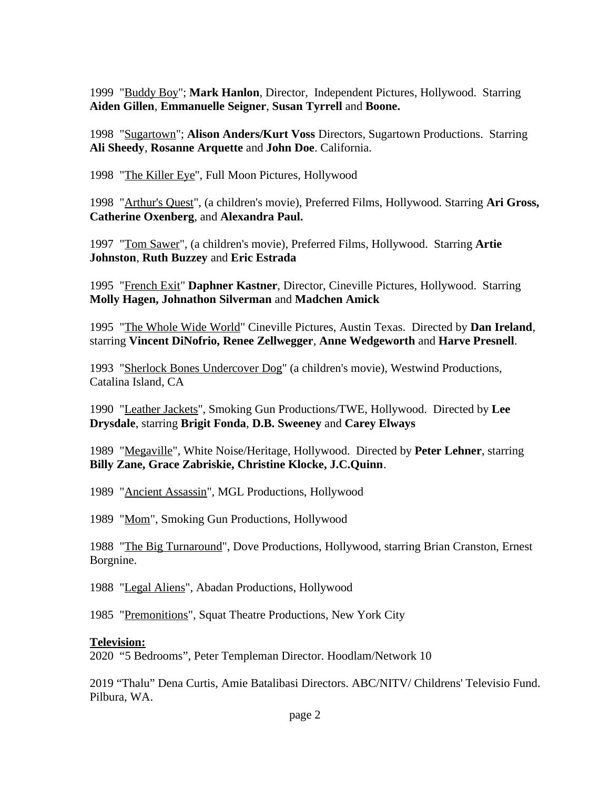1999 "Buddy Boy"; **Mark Hanlon**, Director, Independent Pictures, Hollywood. Starring **Aiden Gillen**, **Emmanuelle Seigner**, **Susan Tyrrell** and **Boone.** 

1998 "Sugartown"; **Alison Anders/Kurt Voss** Directors, Sugartown Productions. Starring **Ali Sheedy**, **Rosanne Arquette** and **John Doe**. California.

1998 "The Killer Eye", Full Moon Pictures, Hollywood

1998 "Arthur's Quest", (a children's movie), Preferred Films, Hollywood. Starring **Ari Gross, Catherine Oxenberg**, and **Alexandra Paul.**

1997 "Tom Sawer", (a children's movie), Preferred Films, Hollywood. Starring **Artie Johnston**, **Ruth Buzzey** and **Eric Estrada**

1995 "French Exit" **Daphner Kastner**, Director, Cineville Pictures, Hollywood. Starring **Molly Hagen, Johnathon Silverman** and **Madchen Amick**

1995 "The Whole Wide World" Cineville Pictures, Austin Texas. Directed by **Dan Ireland**, starring **Vincent DiNofrio, Renee Zellwegger**, **Anne Wedgeworth** and **Harve Presnell**.

1993 "Sherlock Bones Undercover Dog" (a children's movie), Westwind Productions, Catalina Island, CA

1990 "Leather Jackets", Smoking Gun Productions/TWE, Hollywood. Directed by **Lee Drysdale**, starring **Brigit Fonda**, **D.B. Sweeney** and **Carey Elways**

1989 "Megaville", White Noise/Heritage, Hollywood. Directed by **Peter Lehner**, starring **Billy Zane, Grace Zabriskie, Christine Klocke, J.C.Quinn**.

1989 "Ancient Assassin", MGL Productions, Hollywood

1989 "Mom", Smoking Gun Productions, Hollywood

1988 "The Big Turnaround", Dove Productions, Hollywood, starring Brian Cranston, Ernest Borgnine.

1988 "Legal Aliens", Abadan Productions, Hollywood

1985 "Premonitions", Squat Theatre Productions, New York City

## **Television:**

2020 "5 Bedrooms", Peter Templeman Director. Hoodlam/Network 10

2019 "Thalu" Dena Curtis, Amie Batalibasi Directors. ABC/NITV/ Childrens' Televisio Fund. Pilbura, WA.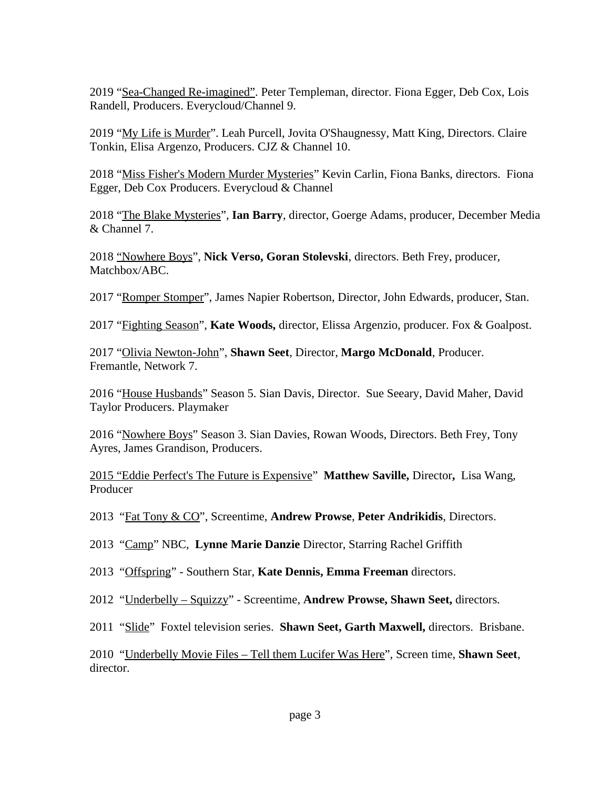2019 "Sea-Changed Re-imagined". Peter Templeman, director. Fiona Egger, Deb Cox, Lois Randell, Producers. Everycloud/Channel 9.

2019 "My Life is Murder". Leah Purcell, Jovita O'Shaugnessy, Matt King, Directors. Claire Tonkin, Elisa Argenzo, Producers. CJZ & Channel 10.

2018 "Miss Fisher's Modern Murder Mysteries" Kevin Carlin, Fiona Banks, directors. Fiona Egger, Deb Cox Producers. Everycloud & Channel

2018 "The Blake Mysteries", **Ian Barry**, director, Goerge Adams, producer, December Media & Channel 7.

2018 "Nowhere Boys", **Nick Verso, Goran Stolevski**, directors. Beth Frey, producer, Matchbox/ABC.

2017 "Romper Stomper", James Napier Robertson, Director, John Edwards, producer, Stan.

2017 "Fighting Season", **Kate Woods,** director, Elissa Argenzio, producer. Fox & Goalpost.

2017 "Olivia Newton-John", **Shawn Seet**, Director, **Margo McDonald**, Producer. Fremantle, Network 7.

2016 "House Husbands" Season 5. Sian Davis, Director. Sue Seeary, David Maher, David Taylor Producers. Playmaker

2016 "Nowhere Boys" Season 3. Sian Davies, Rowan Woods, Directors. Beth Frey, Tony Ayres, James Grandison, Producers.

2015 "Eddie Perfect's The Future is Expensive" **Matthew Saville,** Director**,** Lisa Wang, Producer

2013 "Fat Tony & CO", Screentime, **Andrew Prowse**, **Peter Andrikidis**, Directors.

2013 "Camp" NBC, **Lynne Marie Danzie** Director, Starring Rachel Griffith

2013 "Offspring" - Southern Star, **Kate Dennis, Emma Freeman** directors.

2012 "Underbelly – Squizzy" - Screentime, **Andrew Prowse, Shawn Seet,** directors.

2011 "Slide" Foxtel television series. **Shawn Seet, Garth Maxwell,** directors. Brisbane.

2010 "Underbelly Movie Files – Tell them Lucifer Was Here", Screen time, **Shawn Seet**, director.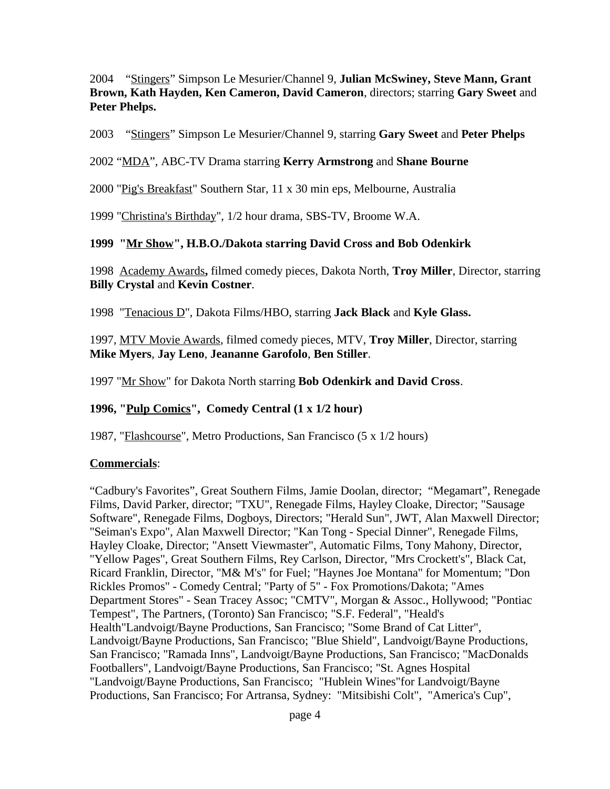2004 "Stingers" Simpson Le Mesurier/Channel 9, **Julian McSwiney, Steve Mann, Grant Brown, Kath Hayden, Ken Cameron, David Cameron**, directors; starring **Gary Sweet** and **Peter Phelps.**

2003 "Stingers" Simpson Le Mesurier/Channel 9, starring **Gary Sweet** and **Peter Phelps**

#### 2002 "MDA", ABC-TV Drama starring **Kerry Armstrong** and **Shane Bourne**

2000 "Pig's Breakfast" Southern Star, 11 x 30 min eps, Melbourne, Australia

1999 "Christina's Birthday", 1/2 hour drama, SBS-TV, Broome W.A.

#### **1999 "Mr Show", H.B.O./Dakota starring David Cross and Bob Odenkirk**

1998 Academy Awards**,** filmed comedy pieces, Dakota North, **Troy Miller**, Director, starring **Billy Crystal** and **Kevin Costner**.

1998 "Tenacious D", Dakota Films/HBO, starring **Jack Black** and **Kyle Glass.**

1997, MTV Movie Awards, filmed comedy pieces, MTV, **Troy Miller**, Director, starring **Mike Myers**, **Jay Leno**, **Jeananne Garofolo**, **Ben Stiller**.

1997 "Mr Show" for Dakota North starring **Bob Odenkirk and David Cross**.

## **1996, "Pulp Comics", Comedy Central (1 x 1/2 hour)**

1987, "Flashcourse", Metro Productions, San Francisco (5 x 1/2 hours)

## **Commercials**:

"Cadbury's Favorites", Great Southern Films, Jamie Doolan, director; "Megamart", Renegade Films, David Parker, director; "TXU", Renegade Films, Hayley Cloake, Director; "Sausage Software", Renegade Films, Dogboys, Directors; "Herald Sun", JWT, Alan Maxwell Director; "Seiman's Expo", Alan Maxwell Director; "Kan Tong - Special Dinner", Renegade Films, Hayley Cloake, Director; "Ansett Viewmaster", Automatic Films, Tony Mahony, Director, "Yellow Pages", Great Southern Films, Rey Carlson, Director, "Mrs Crockett's", Black Cat, Ricard Franklin, Director, "M& M's" for Fuel; "Haynes Joe Montana" for Momentum; "Don Rickles Promos" - Comedy Central; "Party of 5" - Fox Promotions/Dakota; "Ames Department Stores" - Sean Tracey Assoc; "CMTV", Morgan & Assoc., Hollywood; "Pontiac Tempest", The Partners, (Toronto) San Francisco; "S.F. Federal", "Heald's Health"Landvoigt/Bayne Productions, San Francisco; "Some Brand of Cat Litter", Landvoigt/Bayne Productions, San Francisco; "Blue Shield", Landvoigt/Bayne Productions, San Francisco; "Ramada Inns", Landvoigt/Bayne Productions, San Francisco; "MacDonalds Footballers", Landvoigt/Bayne Productions, San Francisco; "St. Agnes Hospital "Landvoigt/Bayne Productions, San Francisco; "Hublein Wines"for Landvoigt/Bayne Productions, San Francisco; For Artransa, Sydney: "Mitsibishi Colt", "America's Cup",